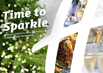# *Time to [Sparkle](https://portsmouth.hichristmas.co.uk) Book your Christmas Party and Events*

*at Holiday Inn® Portsmouth*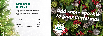Why not join us at the **Holiday Inn Portsmouth** to celebrate Christmas 2022 in style?

Whether you're looking to organise a spectacular Christmas party for colleagues, a festive night out for friends or a celebratory feast with loved ones, we've got the perfect package for you.

## *Celebrate with us*



2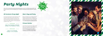## *All-Inclusive Party Night*

Our all-inclusive party nights include everything you need for the perfect festive night out! Enjoy a three-course meal, disco and drinks throughout the evening. The bar will offer you plenty of choice from house wine, house spirits & mixers, draught lager/beer, selected alcopops and soft drinks all included in the price. The all-inclusive bar is available from 8pm - 12am

> **Fridays: 2nd, 9th & 16th December** Saturdays: 3<sup>rd</sup>, 10<sup>th</sup> & 17<sup>th</sup> December

### **£54.95 per adult**

### **Fridays: 18th & 25th November & 23rd December Saturdays: 19th & 26th November & 21st January**

## *[Party Nights](https://portsmouth.hichristmas.co.uk)*

Join us for an amazing Christmas party atmosphere at one of our festive party nights. Our function rooms can accommodate up to 270 guests and feature private dancefloor and bar area.



**£59.95 per adult**

## *Meet, Stay and Party*

Work, rest and play! Join us throughout November, December or January with your colleagues for a full-day meeting, your choice of celebration in the evening, overnight accommodation and breakfast the following day. Plan your end-of-year meeting today! Please enquire for availability and pricing.

## *Private Parties*

From intimate family gatherings to large corporate parties, we have functions rooms available to hire based on your requirements. Please contact us so we can help you plan your perfect celebration. Minimum numbers apply. Prices available upon request. Pre-booking only and subject to availability. Dates sell fast so enquire today!

4

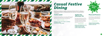## *[Casual Festive](https://portsmouth.hichristmas.co.uk) Dining*

Whether you're looking to organise a spectacular Christmas dinner for colleagues, a festive lunch for friends or a celebratory feast with loved ones, we've got the perfect event for you.

## *Festive Lunch*

Our festive lunches are perfect for any occasion, whether you want to spend time with family, friends or work colleagues. Includes a glass of fizz upon arrival and a three-course festive meal.

**Available seven days a week. (subject to availability). Pre-booking essential. Call 03333 209 345 opt 4 to book.**

## *Pizza and Prosecco*

Pizza and Prosecco = Perfect! Book today so you can enjoy a pizza and a glass of Prosecco each in the relaxed atmosphere of our Open Lobby.

### **£14.95 per person**

## *Festive Fizz Afternoon Tea*

Enjoy a festive afternoon tea, including tea & coffee and a refreshing glass of fizz! The perfect treat for anyone to enjoy. It also includes a selection of sandwiches, scones with cream & jam and a mouthwatering slice of seasonal cake.



### **£18.00 per person**



**From £17.95 per person**

**Available every Tuesday and Thursday throughout December at 12pm, 12:30pm and 1pm. Pre-booking essential, available to book online.** 

**Fridays and Sundays throughout December at 5pm, 6pm and 6:30pm. Available to book online.**

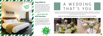## *Stay With Us*

We are excited to share with you the amazing gift vouchers we now have available at Holiday Inn Portsmouth. From delightful afternoon teas to overnight break packages, there's a gift for everyone. Give the gift of travel this uear!

Why not make a night of it and enjoy our special Christmas rates? Room types include standard double, family and twin. Take advantage of up to 20% off our best flexible, bed and breakfast rate. No deposit required and can be cancelled free of charge up to 48 hours prior to arrival.

## *Gift Vouchers* $-$  Up to 20% off  $-$



Christmas is such a wonderful time of year, why not consider having a festive wedding celebration? Our weddings are [available all year round and our fantastic wedding team will work with you to ensure you get everything you desire to](https://www.hiportsmouthhotel.co.uk/weddings/)  make your special day a dream come true.



## Contact us to start creating a wedding that's you, or click to find out more about our weddings



## A WEDDING THAT'S YOU